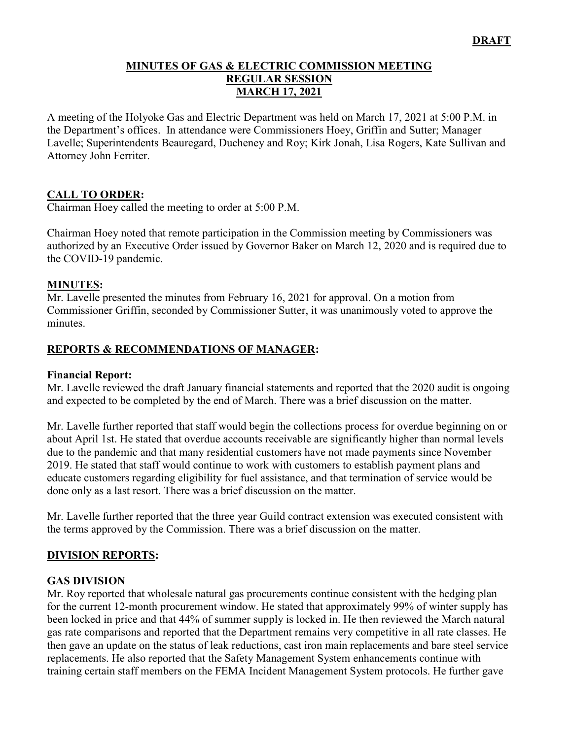#### **MINUTES OF GAS & ELECTRIC COMMISSION MEETING REGULAR SESSION MARCH 17, 2021**

A meeting of the Holyoke Gas and Electric Department was held on March 17, 2021 at 5:00 P.M. in the Department's offices. In attendance were Commissioners Hoey, Griffin and Sutter; Manager Lavelle; Superintendents Beauregard, Ducheney and Roy; Kirk Jonah, Lisa Rogers, Kate Sullivan and Attorney John Ferriter.

### **CALL TO ORDER:**

Chairman Hoey called the meeting to order at 5:00 P.M.

Chairman Hoey noted that remote participation in the Commission meeting by Commissioners was authorized by an Executive Order issued by Governor Baker on March 12, 2020 and is required due to the COVID-19 pandemic.

### **MINUTES:**

Mr. Lavelle presented the minutes from February 16, 2021 for approval. On a motion from Commissioner Griffin, seconded by Commissioner Sutter, it was unanimously voted to approve the minutes.

### **REPORTS & RECOMMENDATIONS OF MANAGER:**

#### **Financial Report:**

Mr. Lavelle reviewed the draft January financial statements and reported that the 2020 audit is ongoing and expected to be completed by the end of March. There was a brief discussion on the matter.

Mr. Lavelle further reported that staff would begin the collections process for overdue beginning on or about April 1st. He stated that overdue accounts receivable are significantly higher than normal levels due to the pandemic and that many residential customers have not made payments since November 2019. He stated that staff would continue to work with customers to establish payment plans and educate customers regarding eligibility for fuel assistance, and that termination of service would be done only as a last resort. There was a brief discussion on the matter.

Mr. Lavelle further reported that the three year Guild contract extension was executed consistent with the terms approved by the Commission. There was a brief discussion on the matter.

### **DIVISION REPORTS:**

### **GAS DIVISION**

Mr. Roy reported that wholesale natural gas procurements continue consistent with the hedging plan for the current 12-month procurement window. He stated that approximately 99% of winter supply has been locked in price and that 44% of summer supply is locked in. He then reviewed the March natural gas rate comparisons and reported that the Department remains very competitive in all rate classes. He then gave an update on the status of leak reductions, cast iron main replacements and bare steel service replacements. He also reported that the Safety Management System enhancements continue with training certain staff members on the FEMA Incident Management System protocols. He further gave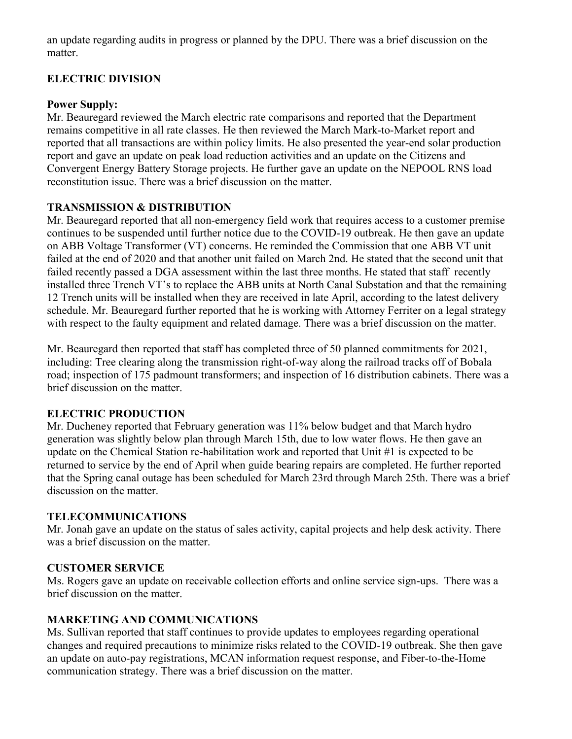an update regarding audits in progress or planned by the DPU. There was a brief discussion on the matter.

# **ELECTRIC DIVISION**

### **Power Supply:**

Mr. Beauregard reviewed the March electric rate comparisons and reported that the Department remains competitive in all rate classes. He then reviewed the March Mark-to-Market report and reported that all transactions are within policy limits. He also presented the year-end solar production report and gave an update on peak load reduction activities and an update on the Citizens and Convergent Energy Battery Storage projects. He further gave an update on the NEPOOL RNS load reconstitution issue. There was a brief discussion on the matter.

# **TRANSMISSION & DISTRIBUTION**

Mr. Beauregard reported that all non-emergency field work that requires access to a customer premise continues to be suspended until further notice due to the COVID-19 outbreak. He then gave an update on ABB Voltage Transformer (VT) concerns. He reminded the Commission that one ABB VT unit failed at the end of 2020 and that another unit failed on March 2nd. He stated that the second unit that failed recently passed a DGA assessment within the last three months. He stated that staff recently installed three Trench VT's to replace the ABB units at North Canal Substation and that the remaining 12 Trench units will be installed when they are received in late April, according to the latest delivery schedule. Mr. Beauregard further reported that he is working with Attorney Ferriter on a legal strategy with respect to the faulty equipment and related damage. There was a brief discussion on the matter.

Mr. Beauregard then reported that staff has completed three of 50 planned commitments for 2021, including: Tree clearing along the transmission right-of-way along the railroad tracks off of Bobala road; inspection of 175 padmount transformers; and inspection of 16 distribution cabinets. There was a brief discussion on the matter.

# **ELECTRIC PRODUCTION**

Mr. Ducheney reported that February generation was 11% below budget and that March hydro generation was slightly below plan through March 15th, due to low water flows. He then gave an update on the Chemical Station re-habilitation work and reported that Unit #1 is expected to be returned to service by the end of April when guide bearing repairs are completed. He further reported that the Spring canal outage has been scheduled for March 23rd through March 25th. There was a brief discussion on the matter.

# **TELECOMMUNICATIONS**

Mr. Jonah gave an update on the status of sales activity, capital projects and help desk activity. There was a brief discussion on the matter.

# **CUSTOMER SERVICE**

Ms. Rogers gave an update on receivable collection efforts and online service sign-ups. There was a brief discussion on the matter.

# **MARKETING AND COMMUNICATIONS**

Ms. Sullivan reported that staff continues to provide updates to employees regarding operational changes and required precautions to minimize risks related to the COVID-19 outbreak. She then gave an update on auto-pay registrations, MCAN information request response, and Fiber-to-the-Home communication strategy. There was a brief discussion on the matter.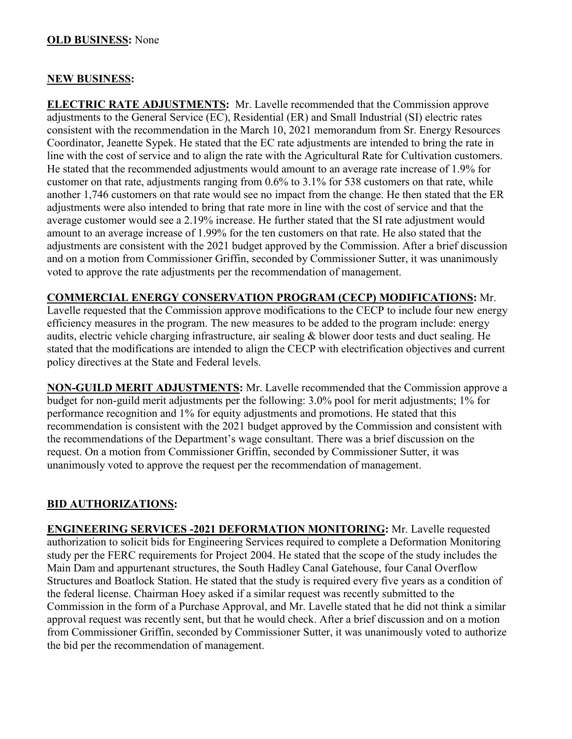### **OLD BUSINESS:** None

#### **NEW BUSINESS:**

**ELECTRIC RATE ADJUSTMENTS:** Mr. Lavelle recommended that the Commission approve adjustments to the General Service (EC), Residential (ER) and Small Industrial (SI) electric rates consistent with the recommendation in the March 10, 2021 memorandum from Sr. Energy Resources Coordinator, Jeanette Sypek. He stated that the EC rate adjustments are intended to bring the rate in line with the cost of service and to align the rate with the Agricultural Rate for Cultivation customers. He stated that the recommended adjustments would amount to an average rate increase of 1.9% for customer on that rate, adjustments ranging from 0.6% to 3.1% for 538 customers on that rate, while another 1,746 customers on that rate would see no impact from the change. He then stated that the ER adjustments were also intended to bring that rate more in line with the cost of service and that the average customer would see a 2.19% increase. He further stated that the SI rate adjustment would amount to an average increase of 1.99% for the ten customers on that rate. He also stated that the adjustments are consistent with the 2021 budget approved by the Commission. After a brief discussion and on a motion from Commissioner Griffin, seconded by Commissioner Sutter, it was unanimously voted to approve the rate adjustments per the recommendation of management.

#### **COMMERCIAL ENERGY CONSERVATION PROGRAM (CECP) MODIFICATIONS:** Mr.

Lavelle requested that the Commission approve modifications to the CECP to include four new energy efficiency measures in the program. The new measures to be added to the program include: energy audits, electric vehicle charging infrastructure, air sealing & blower door tests and duct sealing. He stated that the modifications are intended to align the CECP with electrification objectives and current policy directives at the State and Federal levels.

**NON-GUILD MERIT ADJUSTMENTS:** Mr. Lavelle recommended that the Commission approve a budget for non-guild merit adjustments per the following: 3.0% pool for merit adjustments; 1% for performance recognition and 1% for equity adjustments and promotions. He stated that this recommendation is consistent with the 2021 budget approved by the Commission and consistent with the recommendations of the Department's wage consultant. There was a brief discussion on the request. On a motion from Commissioner Griffin, seconded by Commissioner Sutter, it was unanimously voted to approve the request per the recommendation of management.

### **BID AUTHORIZATIONS:**

**ENGINEERING SERVICES -2021 DEFORMATION MONITORING:** Mr. Lavelle requested authorization to solicit bids for Engineering Services required to complete a Deformation Monitoring study per the FERC requirements for Project 2004. He stated that the scope of the study includes the Main Dam and appurtenant structures, the South Hadley Canal Gatehouse, four Canal Overflow Structures and Boatlock Station. He stated that the study is required every five years as a condition of the federal license. Chairman Hoey asked if a similar request was recently submitted to the Commission in the form of a Purchase Approval, and Mr. Lavelle stated that he did not think a similar approval request was recently sent, but that he would check. After a brief discussion and on a motion from Commissioner Griffin, seconded by Commissioner Sutter, it was unanimously voted to authorize the bid per the recommendation of management.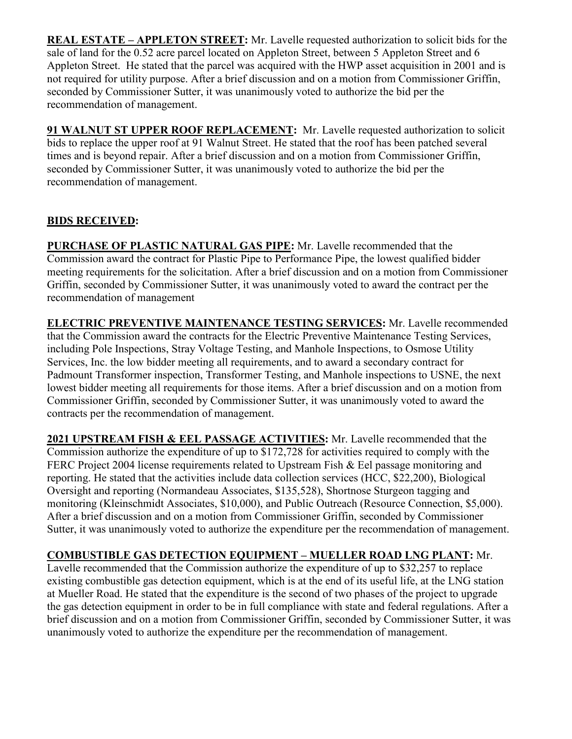**REAL ESTATE – APPLETON STREET:** Mr. Lavelle requested authorization to solicit bids for the sale of land for the 0.52 acre parcel located on Appleton Street, between 5 Appleton Street and 6 Appleton Street. He stated that the parcel was acquired with the HWP asset acquisition in 2001 and is not required for utility purpose. After a brief discussion and on a motion from Commissioner Griffin, seconded by Commissioner Sutter, it was unanimously voted to authorize the bid per the recommendation of management.

**91 WALNUT ST UPPER ROOF REPLACEMENT:** Mr. Lavelle requested authorization to solicit bids to replace the upper roof at 91 Walnut Street. He stated that the roof has been patched several times and is beyond repair. After a brief discussion and on a motion from Commissioner Griffin, seconded by Commissioner Sutter, it was unanimously voted to authorize the bid per the recommendation of management.

# **BIDS RECEIVED:**

**PURCHASE OF PLASTIC NATURAL GAS PIPE:** Mr. Lavelle recommended that the Commission award the contract for Plastic Pipe to Performance Pipe, the lowest qualified bidder meeting requirements for the solicitation. After a brief discussion and on a motion from Commissioner Griffin, seconded by Commissioner Sutter, it was unanimously voted to award the contract per the recommendation of management

**ELECTRIC PREVENTIVE MAINTENANCE TESTING SERVICES:** Mr. Lavelle recommended that the Commission award the contracts for the Electric Preventive Maintenance Testing Services, including Pole Inspections, Stray Voltage Testing, and Manhole Inspections, to Osmose Utility Services, Inc. the low bidder meeting all requirements, and to award a secondary contract for Padmount Transformer inspection, Transformer Testing, and Manhole inspections to USNE, the next lowest bidder meeting all requirements for those items. After a brief discussion and on a motion from Commissioner Griffin, seconded by Commissioner Sutter, it was unanimously voted to award the contracts per the recommendation of management.

**2021 UPSTREAM FISH & EEL PASSAGE ACTIVITIES:** Mr. Lavelle recommended that the Commission authorize the expenditure of up to \$172,728 for activities required to comply with the FERC Project 2004 license requirements related to Upstream Fish & Eel passage monitoring and reporting. He stated that the activities include data collection services (HCC, \$22,200), Biological Oversight and reporting (Normandeau Associates, \$135,528), Shortnose Sturgeon tagging and monitoring (Kleinschmidt Associates, \$10,000), and Public Outreach (Resource Connection, \$5,000). After a brief discussion and on a motion from Commissioner Griffin, seconded by Commissioner Sutter, it was unanimously voted to authorize the expenditure per the recommendation of management.

# **COMBUSTIBLE GAS DETECTION EQUIPMENT – MUELLER ROAD LNG PLANT:** Mr.

Lavelle recommended that the Commission authorize the expenditure of up to \$32,257 to replace existing combustible gas detection equipment, which is at the end of its useful life, at the LNG station at Mueller Road. He stated that the expenditure is the second of two phases of the project to upgrade the gas detection equipment in order to be in full compliance with state and federal regulations. After a brief discussion and on a motion from Commissioner Griffin, seconded by Commissioner Sutter, it was unanimously voted to authorize the expenditure per the recommendation of management.